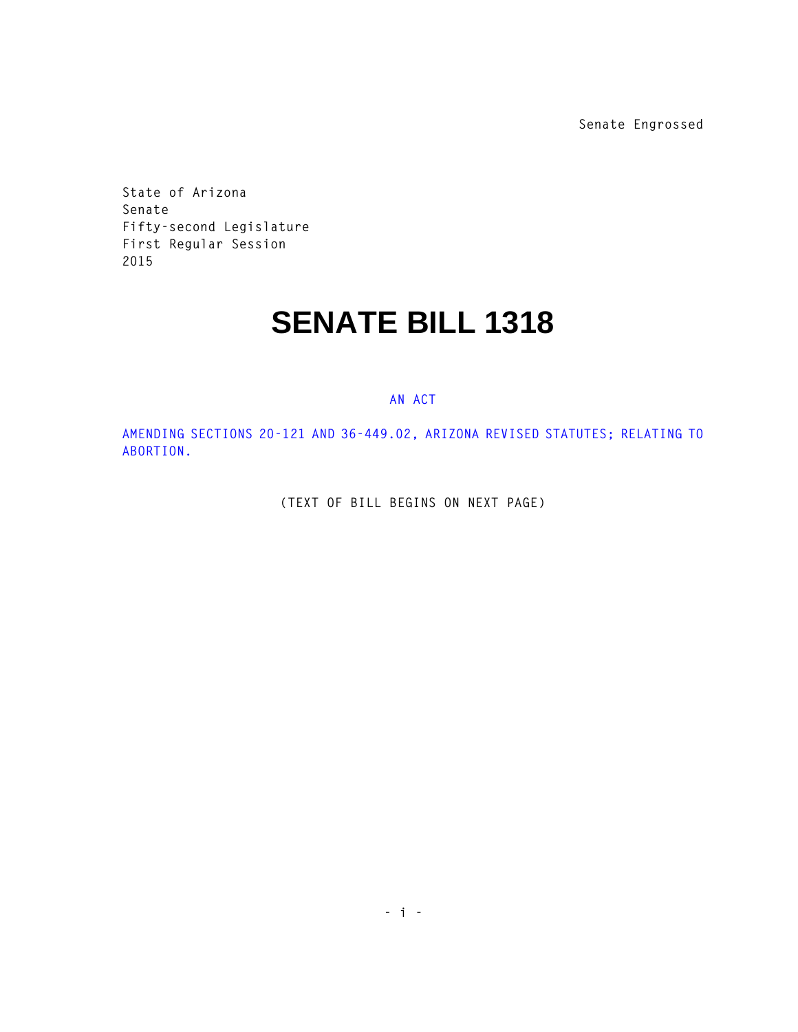**Senate Engrossed**

**State of Arizona Senate Fifty-second Legislature First Regular Session 2015** 

## **SENATE BILL 1318**

## **AN ACT**

**AMENDING SECTIONS 20-121 AND 36-449.02, ARIZONA REVISED STATUTES; RELATING TO ABORTION.** 

**(TEXT OF BILL BEGINS ON NEXT PAGE)**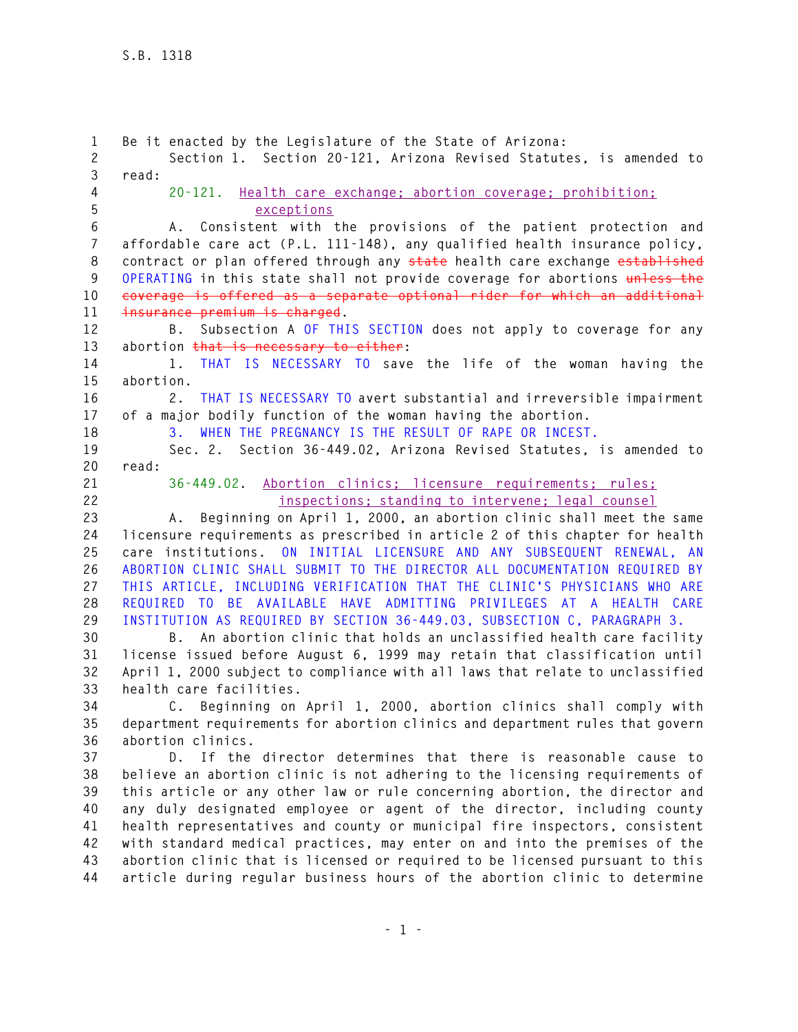**1 Be it enacted by the Legislature of the State of Arizona: 2 Section 1. Section 20-121, Arizona Revised Statutes, is amended to 3 read: 4 20-121. Health care exchange; abortion coverage; prohibition; 5 exceptions 6 A. Consistent with the provisions of the patient protection and 7 affordable care act (P.L. 111-148), any qualified health insurance policy, 8 contract or plan offered through any state health care exchange established 9 OPERATING in this state shall not provide coverage for abortions unless the 10 coverage is offered as a separate optional rider for which an additional 11 insurance premium is charged. 12 B. Subsection A OF THIS SECTION does not apply to coverage for any 13 abortion that is necessary to either: 14 1. THAT IS NECESSARY TO save the life of the woman having the 15 abortion. 16 2. THAT IS NECESSARY TO avert substantial and irreversible impairment 17 of a major bodily function of the woman having the abortion. 18 3. WHEN THE PREGNANCY IS THE RESULT OF RAPE OR INCEST. 19 Sec. 2. Section 36-449.02, Arizona Revised Statutes, is amended to 20 read: 21 36-449.02. Abortion clinics; licensure requirements; rules; 22 inspections; standing to intervene; legal counsel 23 A. Beginning on April 1, 2000, an abortion clinic shall meet the same 24 licensure requirements as prescribed in article 2 of this chapter for health 25 care institutions. ON INITIAL LICENSURE AND ANY SUBSEQUENT RENEWAL, AN 26 ABORTION CLINIC SHALL SUBMIT TO THE DIRECTOR ALL DOCUMENTATION REQUIRED BY 27 THIS ARTICLE, INCLUDING VERIFICATION THAT THE CLINIC'S PHYSICIANS WHO ARE 28 REQUIRED TO BE AVAILABLE HAVE ADMITTING PRIVILEGES AT A HEALTH CARE 29 INSTITUTION AS REQUIRED BY SECTION 36-449.03, SUBSECTION C, PARAGRAPH 3. 30 B. An abortion clinic that holds an unclassified health care facility 31 license issued before August 6, 1999 may retain that classification until 32 April 1, 2000 subject to compliance with all laws that relate to unclassified 33 health care facilities. 34 C. Beginning on April 1, 2000, abortion clinics shall comply with 35 department requirements for abortion clinics and department rules that govern 36 abortion clinics. 37 D. If the director determines that there is reasonable cause to 38 believe an abortion clinic is not adhering to the licensing requirements of 39 this article or any other law or rule concerning abortion, the director and 40 any duly designated employee or agent of the director, including county 41 health representatives and county or municipal fire inspectors, consistent 42 with standard medical practices, may enter on and into the premises of the 43 abortion clinic that is licensed or required to be licensed pursuant to this 44 article during regular business hours of the abortion clinic to determine**